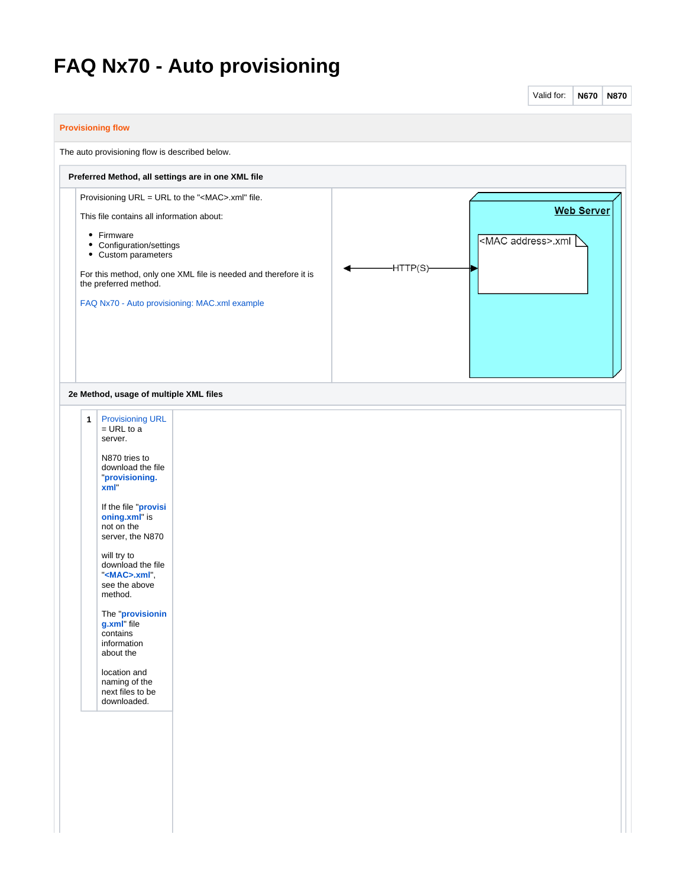## **FAQ Nx70 - Auto provisioning**

|                          |                                                                                                                                                                                                                                                                                                                                                                                                                                               |                                                                                                                                                                               |  |           | Valid for:                 | <b>N670</b>       | <b>N870</b> |
|--------------------------|-----------------------------------------------------------------------------------------------------------------------------------------------------------------------------------------------------------------------------------------------------------------------------------------------------------------------------------------------------------------------------------------------------------------------------------------------|-------------------------------------------------------------------------------------------------------------------------------------------------------------------------------|--|-----------|----------------------------|-------------------|-------------|
| <b>Provisioning flow</b> |                                                                                                                                                                                                                                                                                                                                                                                                                                               |                                                                                                                                                                               |  |           |                            |                   |             |
|                          | The auto provisioning flow is described below.                                                                                                                                                                                                                                                                                                                                                                                                |                                                                                                                                                                               |  |           |                            |                   |             |
|                          |                                                                                                                                                                                                                                                                                                                                                                                                                                               | Preferred Method, all settings are in one XML file                                                                                                                            |  |           |                            |                   |             |
|                          | This file contains all information about:<br>• Firmware<br>• Configuration/settings<br>• Custom parameters<br>the preferred method.                                                                                                                                                                                                                                                                                                           | Provisioning URL = URL to the " <mac>.xml" file.<br/>For this method, only one XML file is needed and therefore it is<br/>FAQ Nx70 - Auto provisioning: MAC.xml example</mac> |  | -HTTP(S)- | <mac address="">.xml</mac> | <b>Web Server</b> |             |
|                          | 2e Method, usage of multiple XML files                                                                                                                                                                                                                                                                                                                                                                                                        |                                                                                                                                                                               |  |           |                            |                   |             |
| $\mathbf{1}$             | <b>Provisioning URL</b><br>$=$ URL to a<br>server.<br>N870 tries to<br>download the file<br>"provisioning.<br>xml"<br>If the file "provisi<br>oning.xml" is<br>not on the<br>server, the N870<br>will try to<br>download the file<br>" <mac>.xml"<br/>see the above<br/>method.<br/>The "provisionin<br/>g.xml" file<br/>contains<br/>information<br/>about the<br/>location and<br/>naming of the<br/>next files to be<br/>downloaded.</mac> |                                                                                                                                                                               |  |           |                            |                   |             |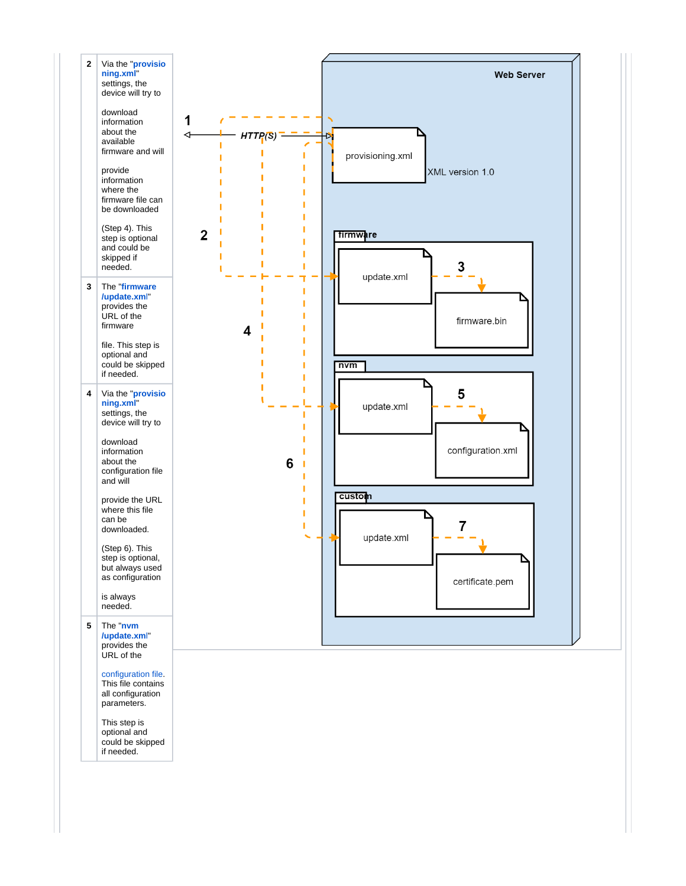